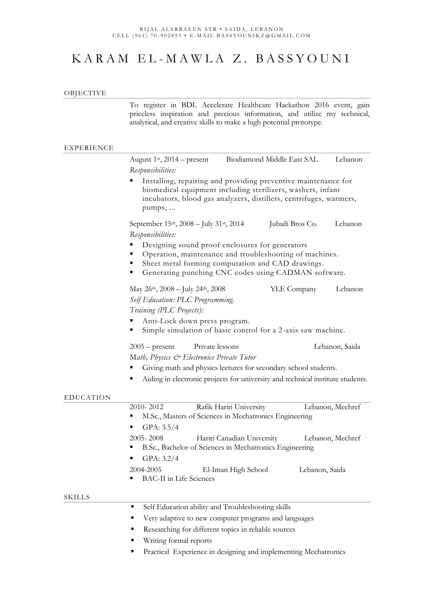# K A R A M E L - M A W L A Z . B A S S Y O U N I

#### OBJECTIVE

To register in BDL Accelerate Healthcare Hackathon 2016 event, gain priceless inspiration and precious information, and utilize my technical, analytical, and creative skills to make a high potential prototype.

#### EXPERIENCE

|                  | August $1st$ , 2014 – present                                                                                                                                                                                                                                                                                                                                                                                                                                                     | Biodiamond Middle East SAL |                  | Lebanon          |
|------------------|-----------------------------------------------------------------------------------------------------------------------------------------------------------------------------------------------------------------------------------------------------------------------------------------------------------------------------------------------------------------------------------------------------------------------------------------------------------------------------------|----------------------------|------------------|------------------|
|                  | Responsibilities:<br>Installing, repairing and providing preventive maintenance for<br>biomedical equipment including sterilizers, washers, infant<br>incubators, blood gas analyzers, distillers, centrifuges, warmers,<br>pumps,                                                                                                                                                                                                                                                |                            |                  |                  |
|                  |                                                                                                                                                                                                                                                                                                                                                                                                                                                                                   |                            |                  |                  |
|                  | September 15 <sup>th</sup> , 2008 – July 31 <sup>st</sup> , 2014<br>Responsibilities:                                                                                                                                                                                                                                                                                                                                                                                             |                            | Jubaili Bros Co. | Lebanon          |
|                  | Designing sound proof enclosures for generators<br>Operation, maintenance and troubleshooting of machines.<br>Sheet metal forming computation and CAD drawings.<br>Generating punching CNC codes using CADMAN software.<br>п<br>May $26^{th}$ , $2008 - \text{July } 24^{th}$ , $2008$<br>YLE Company<br>Lebanon<br>Self Education: PLC Programming.<br>Training (PLC Projects):<br>Anti-Lock down press program.<br>Simple simulation of basic control for a 2-axis saw machine. |                            |                  |                  |
|                  |                                                                                                                                                                                                                                                                                                                                                                                                                                                                                   |                            |                  |                  |
|                  | Private lessons<br>$2005$ – present<br>Math, Physics & Electronics Private Tutor<br>Giving math and physics lectures for secondary school students.<br>Aiding in electronic projects for university and technical institute students.                                                                                                                                                                                                                                             |                            |                  | Lebanon, Saida   |
| <b>EDUCATION</b> |                                                                                                                                                                                                                                                                                                                                                                                                                                                                                   |                            |                  |                  |
|                  | 2010-2012<br>M.Sc., Masters of Sciences in Mechatronics Engineering<br>п<br>GPA: $3.5/4$<br>п                                                                                                                                                                                                                                                                                                                                                                                     | Rafik Hariri University    |                  | Lebanon, Mechref |
|                  | 2005-2008<br>B.Sc., Bachelor of Sciences in Mechatronics Engineering<br>GPA: 3.2/4                                                                                                                                                                                                                                                                                                                                                                                                | Hariri Canadian University |                  | Lebanon, Mechref |
|                  | 2004-2005<br><b>BAC-II</b> in Life Sciences<br>٠                                                                                                                                                                                                                                                                                                                                                                                                                                  | El-Iman High School        | Lebanon, Saida   |                  |
| <b>SKILLS</b>    |                                                                                                                                                                                                                                                                                                                                                                                                                                                                                   |                            |                  |                  |
|                  | Self Education ability and Troubleshooting skills<br>٠                                                                                                                                                                                                                                                                                                                                                                                                                            |                            |                  |                  |
|                  | Very adaptive to new computer programs and languages                                                                                                                                                                                                                                                                                                                                                                                                                              |                            |                  |                  |
|                  | Researching for different topics in reliable sources                                                                                                                                                                                                                                                                                                                                                                                                                              |                            |                  |                  |
|                  | Writing formal reports                                                                                                                                                                                                                                                                                                                                                                                                                                                            |                            |                  |                  |

**Practical Experience in designing and implementing Mechatronics**